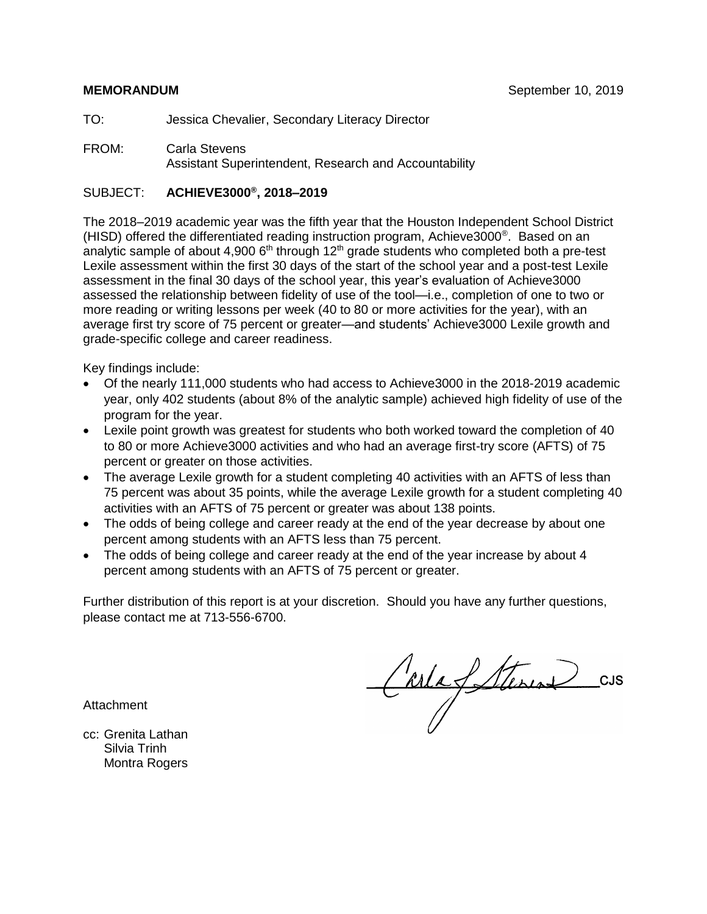TO: Jessica Chevalier, Secondary Literacy Director

FROM: Carla Stevens Assistant Superintendent, Research and Accountability

#### SUBJECT: **ACHIEVE3000® , 2018–2019**

The 2018–2019 academic year was the fifth year that the Houston Independent School District (HISD) offered the differentiated reading instruction program, Achieve3000® . Based on an analytic sample of about 4,900  $6<sup>th</sup>$  through 12<sup>th</sup> grade students who completed both a pre-test Lexile assessment within the first 30 days of the start of the school year and a post-test Lexile assessment in the final 30 days of the school year, this year's evaluation of Achieve3000 assessed the relationship between fidelity of use of the tool—i.e., completion of one to two or more reading or writing lessons per week (40 to 80 or more activities for the year), with an average first try score of 75 percent or greater—and students' Achieve3000 Lexile growth and grade-specific college and career readiness.

Key findings include:

- Of the nearly 111,000 students who had access to Achieve3000 in the 2018-2019 academic year, only 402 students (about 8% of the analytic sample) achieved high fidelity of use of the program for the year.
- Lexile point growth was greatest for students who both worked toward the completion of 40 to 80 or more Achieve3000 activities and who had an average first-try score (AFTS) of 75 percent or greater on those activities.
- The average Lexile growth for a student completing 40 activities with an AFTS of less than 75 percent was about 35 points, while the average Lexile growth for a student completing 40 activities with an AFTS of 75 percent or greater was about 138 points.
- The odds of being college and career ready at the end of the year decrease by about one percent among students with an AFTS less than 75 percent.
- The odds of being college and career ready at the end of the year increase by about 4 percent among students with an AFTS of 75 percent or greater.

Further distribution of this report is at your discretion. Should you have any further questions, please contact me at 713-556-6700.

**Attachment** 

CarlaSterin 2 CUS

cc: Grenita Lathan Silvia Trinh Montra Rogers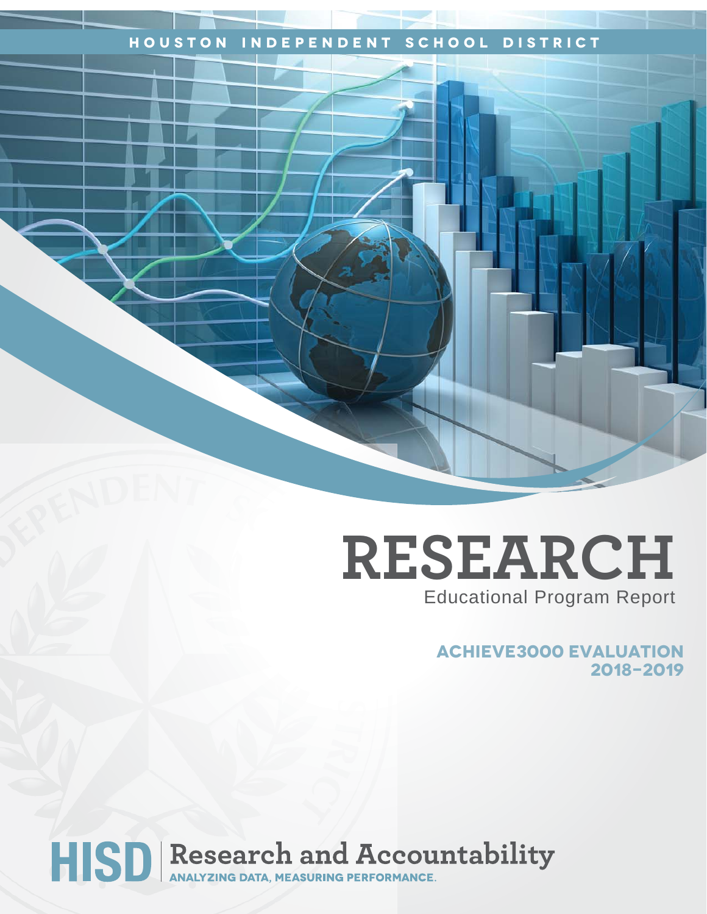### **Houston Independent School District**

# **RESEARCH** Educational Program Report

**Achieve3000 evaluation 2018-2019**

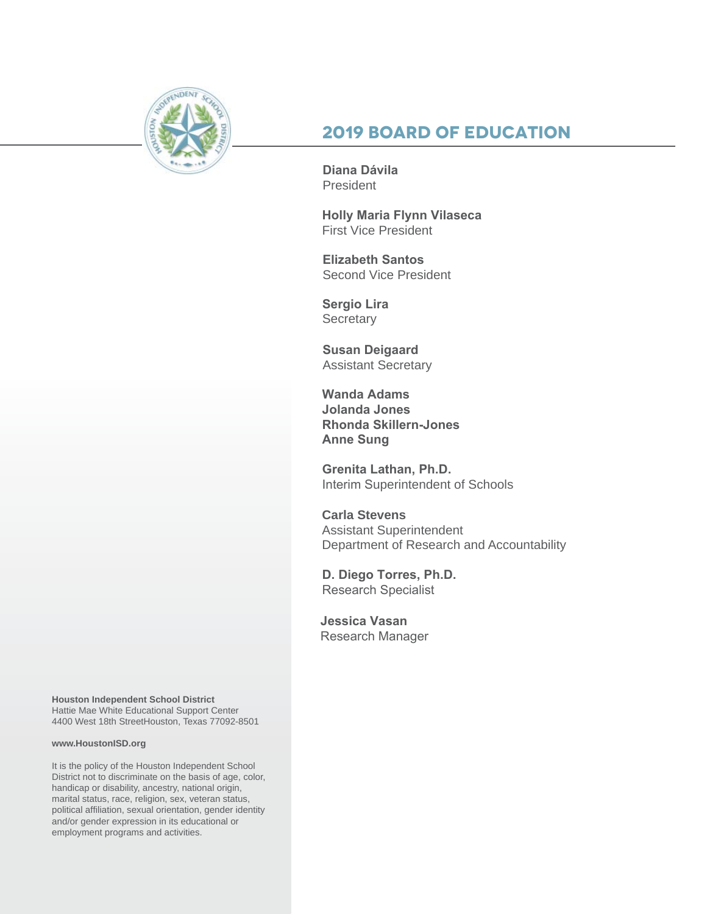

## **2019 Board of Education**

**Diana Dávila**  President

**Holly Maria Flynn Vilaseca** First Vice President

**Elizabeth Santos**  Second Vice President

**Sergio Lira Secretary** 

**Susan Deigaard** Assistant Secretary

**Wanda Adams Jolanda Jones Rhonda Skillern-Jones Anne Sung**

**Grenita Lathan, Ph.D.**  Interim Superintendent of Schools

**Carla Stevens** Assistant Superintendent Department of Research and Accountability

**D. Diego Torres, Ph.D.**  Research Specialist

**Jessica Vasan** Research Manager

**Houston Independent School District** Hattie Mae White Educational Support Center 4400 West 18th StreetHouston, Texas 77092-8501

#### **www.HoustonISD.org**

It is the policy of the Houston Independent School District not to discriminate on the basis of age, color, handicap or disability, ancestry, national origin, marital status, race, religion, sex, veteran status, political affiliation, sexual orientation, gender identity and/or gender expression in its educational or employment programs and activities.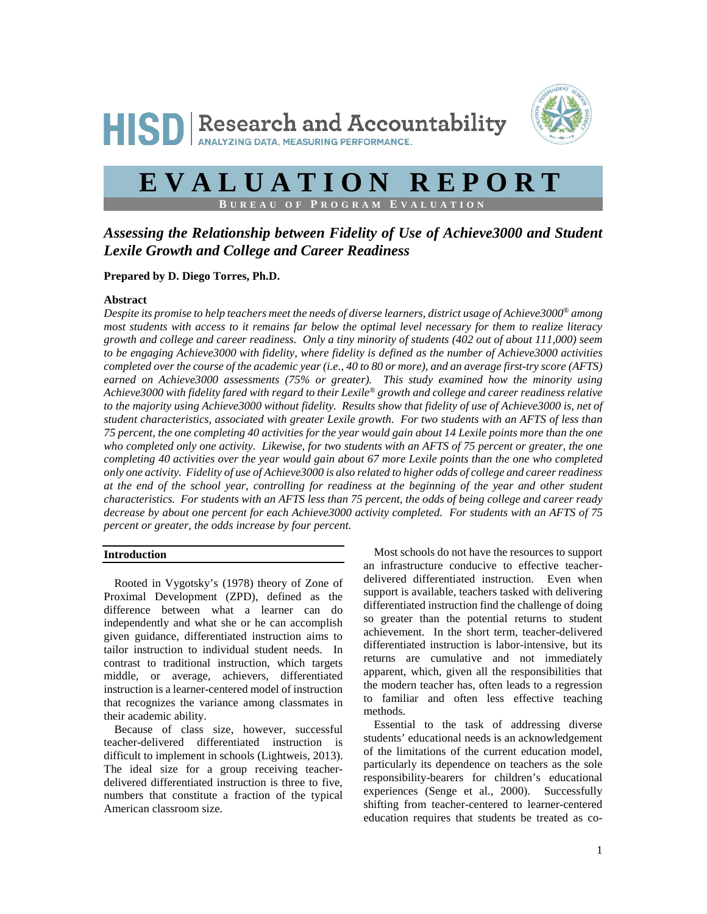



# **EVALUATION REPORT**

 $B$  **UREAU OF PROGRAM EVALU** 

### *Assessing the Relationship between Fidelity of Use of Achieve3000 and Student Lexile Growth and College and Career Readiness*

**Prepared by D. Diego Torres, Ph.D.**

#### **Abstract**

*Despite its promise to help teachers meet the needs of diverse learners, district usage of Achieve3000® among most students with access to it remains far below the optimal level necessary for them to realize literacy growth and college and career readiness. Only a tiny minority of students (402 out of about 111,000) seem to be engaging Achieve3000 with fidelity, where fidelity is defined as the number of Achieve3000 activities completed over the course of the academic year (i.e., 40 to 80 or more), and an average first-try score (AFTS) earned on Achieve3000 assessments (75% or greater). This study examined how the minority using Achieve3000 with fidelity fared with regard to their Lexile® growth and college and career readiness relative*  to the majority using Achieve3000 without fidelity. Results show that fidelity of use of Achieve3000 is, net of *student characteristics, associated with greater Lexile growth. For two students with an AFTS of less than 75 percent, the one completing 40 activities for the year would gain about 14 Lexile points more than the one who completed only one activity. Likewise, for two students with an AFTS of 75 percent or greater, the one completing 40 activities over the year would gain about 67 more Lexile points than the one who completed only one activity. Fidelity of use of Achieve3000 is also related to higher odds of college and career readiness at the end of the school year, controlling for readiness at the beginning of the year and other student characteristics. For students with an AFTS less than 75 percent, the odds of being college and career ready decrease by about one percent for each Achieve3000 activity completed. For students with an AFTS of 75 percent or greater, the odds increase by four percent.*

#### **Introduction**

Rooted in Vygotsky's (1978) theory of Zone of Proximal Development (ZPD), defined as the difference between what a learner can do independently and what she or he can accomplish given guidance, differentiated instruction aims to tailor instruction to individual student needs. In contrast to traditional instruction, which targets middle, or average, achievers, differentiated instruction is a learner-centered model of instruction that recognizes the variance among classmates in their academic ability.

Because of class size, however, successful teacher-delivered differentiated instruction is difficult to implement in schools (Lightweis, 2013). The ideal size for a group receiving teacherdelivered differentiated instruction is three to five, numbers that constitute a fraction of the typical American classroom size.

Most schools do not have the resources to support an infrastructure conducive to effective teacherdelivered differentiated instruction. Even when support is available, teachers tasked with delivering differentiated instruction find the challenge of doing so greater than the potential returns to student achievement. In the short term, teacher-delivered differentiated instruction is labor-intensive, but its returns are cumulative and not immediately apparent, which, given all the responsibilities that the modern teacher has, often leads to a regression to familiar and often less effective teaching methods.

Essential to the task of addressing diverse students' educational needs is an acknowledgement of the limitations of the current education model, particularly its dependence on teachers as the sole responsibility-bearers for children's educational experiences (Senge et al., 2000). Successfully shifting from teacher-centered to learner-centered education requires that students be treated as co-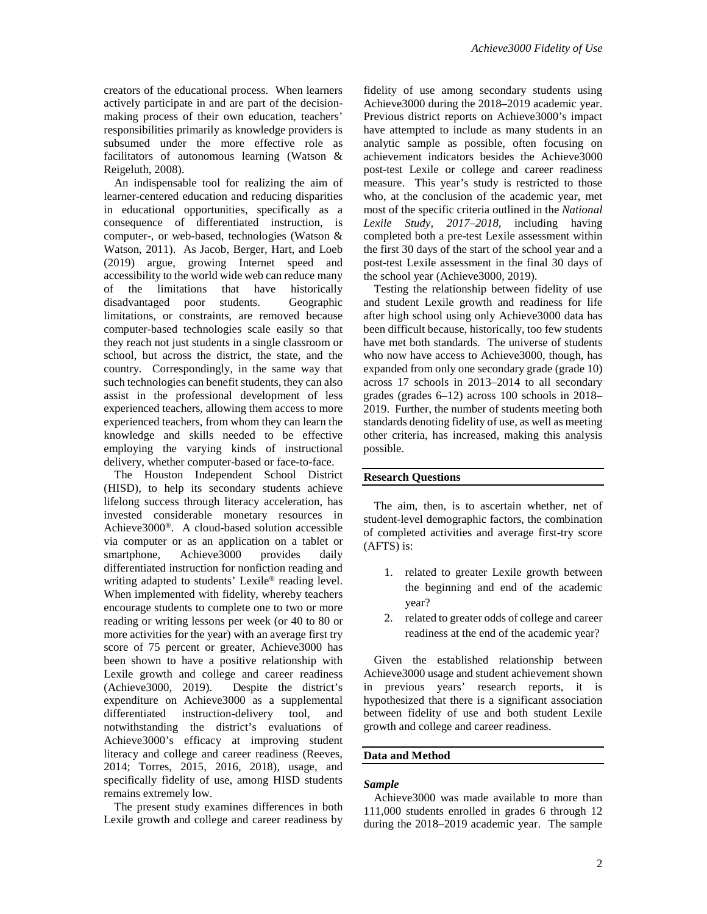creators of the educational process. When learners actively participate in and are part of the decisionmaking process of their own education, teachers' responsibilities primarily as knowledge providers is subsumed under the more effective role as facilitators of autonomous learning (Watson & Reigeluth, 2008).

An indispensable tool for realizing the aim of learner-centered education and reducing disparities in educational opportunities, specifically as a consequence of differentiated instruction, is computer-, or web-based, technologies (Watson & Watson, 2011). As Jacob, Berger, Hart, and Loeb (2019) argue, growing Internet speed and accessibility to the world wide web can reduce many of the limitations that have historically disadvantaged poor students. Geographic limitations, or constraints, are removed because computer-based technologies scale easily so that they reach not just students in a single classroom or school, but across the district, the state, and the country. Correspondingly, in the same way that such technologies can benefit students, they can also assist in the professional development of less experienced teachers, allowing them access to more experienced teachers, from whom they can learn the knowledge and skills needed to be effective employing the varying kinds of instructional delivery, whether computer-based or face-to-face.

The Houston Independent School District (HISD), to help its secondary students achieve lifelong success through literacy acceleration, has invested considerable monetary resources in Achieve3000®. A cloud-based solution accessible via computer or as an application on a tablet or smartphone, Achieve3000 provides daily differentiated instruction for nonfiction reading and writing adapted to students' Lexile® reading level. When implemented with fidelity, whereby teachers encourage students to complete one to two or more reading or writing lessons per week (or 40 to 80 or more activities for the year) with an average first try score of 75 percent or greater, Achieve3000 has been shown to have a positive relationship with Lexile growth and college and career readiness<br>(Achieve3000, 2019). Despite the district's Despite the district's expenditure on Achieve3000 as a supplemental differentiated instruction-delivery tool, and notwithstanding the district's evaluations of Achieve3000's efficacy at improving student literacy and college and career readiness (Reeves, 2014; Torres, 2015, 2016, 2018), usage, and specifically fidelity of use, among HISD students remains extremely low.

The present study examines differences in both Lexile growth and college and career readiness by

fidelity of use among secondary students using Achieve3000 during the 2018–2019 academic year. Previous district reports on Achieve3000's impact have attempted to include as many students in an analytic sample as possible, often focusing on achievement indicators besides the Achieve3000 post-test Lexile or college and career readiness measure. This year's study is restricted to those who, at the conclusion of the academic year, met most of the specific criteria outlined in the *National Lexile Study, 2017–2018*, including having completed both a pre-test Lexile assessment within the first 30 days of the start of the school year and a post-test Lexile assessment in the final 30 days of the school year (Achieve3000, 2019).

Testing the relationship between fidelity of use and student Lexile growth and readiness for life after high school using only Achieve3000 data has been difficult because, historically, too few students have met both standards. The universe of students who now have access to Achieve3000, though, has expanded from only one secondary grade (grade 10) across 17 schools in 2013–2014 to all secondary grades (grades 6–12) across 100 schools in 2018– 2019. Further, the number of students meeting both standards denoting fidelity of use, as well as meeting other criteria, has increased, making this analysis possible.

#### **Research Questions**

The aim, then, is to ascertain whether, net of student-level demographic factors, the combination of completed activities and average first-try score (AFTS) is:

- 1. related to greater Lexile growth between the beginning and end of the academic year?
- 2. related to greater odds of college and career readiness at the end of the academic year?

Given the established relationship between Achieve3000 usage and student achievement shown in previous years' research reports, it is hypothesized that there is a significant association between fidelity of use and both student Lexile growth and college and career readiness.

#### **Data and Method**

#### *Sample*

Achieve3000 was made available to more than 111,000 students enrolled in grades 6 through 12 during the 2018–2019 academic year. The sample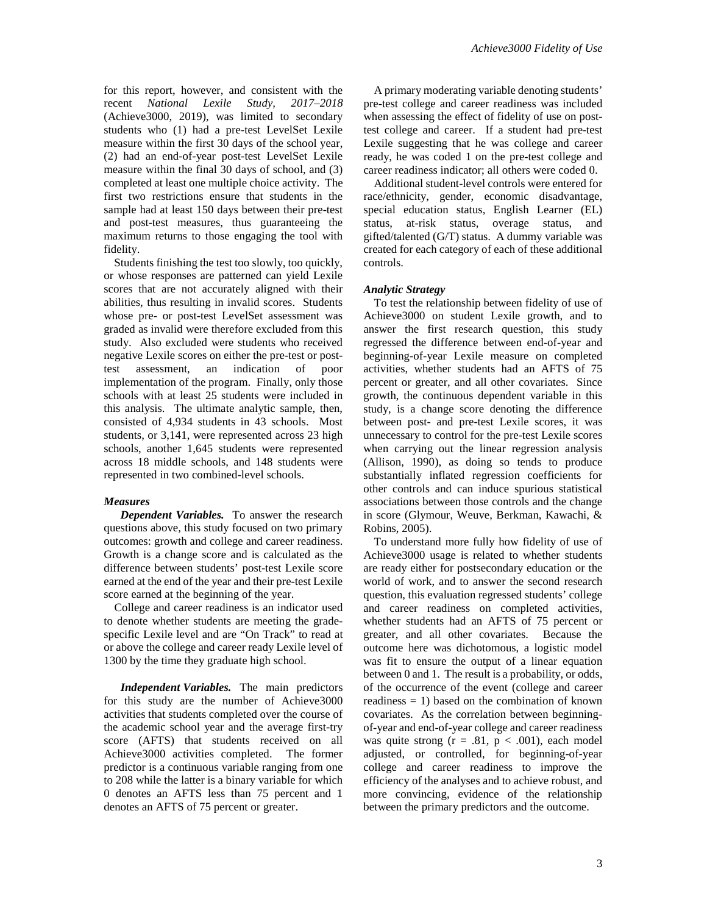for this report, however, and consistent with the recent *National Lexile Study, 2017–2018* (Achieve3000, 2019), was limited to secondary students who (1) had a pre-test LevelSet Lexile measure within the first 30 days of the school year, (2) had an end-of-year post-test LevelSet Lexile measure within the final 30 days of school, and (3) completed at least one multiple choice activity. The first two restrictions ensure that students in the sample had at least 150 days between their pre-test and post-test measures, thus guaranteeing the maximum returns to those engaging the tool with fidelity.

Students finishing the test too slowly, too quickly, or whose responses are patterned can yield Lexile scores that are not accurately aligned with their abilities, thus resulting in invalid scores. Students whose pre- or post-test LevelSet assessment was graded as invalid were therefore excluded from this study. Also excluded were students who received negative Lexile scores on either the pre-test or posttest assessment, an indication of poor implementation of the program. Finally, only those schools with at least 25 students were included in this analysis. The ultimate analytic sample, then, consisted of 4,934 students in 43 schools. Most students, or 3,141, were represented across 23 high schools, another 1,645 students were represented across 18 middle schools, and 148 students were represented in two combined-level schools.

#### *Measures*

*Dependent Variables.* To answer the research questions above, this study focused on two primary outcomes: growth and college and career readiness. Growth is a change score and is calculated as the difference between students' post-test Lexile score earned at the end of the year and their pre-test Lexile score earned at the beginning of the year.

College and career readiness is an indicator used to denote whether students are meeting the gradespecific Lexile level and are "On Track" to read at or above the college and career ready Lexile level of 1300 by the time they graduate high school.

*Independent Variables.* The main predictors for this study are the number of Achieve3000 activities that students completed over the course of the academic school year and the average first-try score (AFTS) that students received on all Achieve3000 activities completed. The former predictor is a continuous variable ranging from one to 208 while the latter is a binary variable for which 0 denotes an AFTS less than 75 percent and 1 denotes an AFTS of 75 percent or greater.

A primary moderating variable denoting students' pre-test college and career readiness was included when assessing the effect of fidelity of use on posttest college and career. If a student had pre-test Lexile suggesting that he was college and career ready, he was coded 1 on the pre-test college and career readiness indicator; all others were coded 0.

Additional student-level controls were entered for race/ethnicity, gender, economic disadvantage, special education status, English Learner (EL) status, at-risk status, overage status, and gifted/talented (G/T) status. A dummy variable was created for each category of each of these additional controls.

#### *Analytic Strategy*

To test the relationship between fidelity of use of Achieve3000 on student Lexile growth, and to answer the first research question, this study regressed the difference between end-of-year and beginning-of-year Lexile measure on completed activities, whether students had an AFTS of 75 percent or greater, and all other covariates. Since growth, the continuous dependent variable in this study, is a change score denoting the difference between post- and pre-test Lexile scores, it was unnecessary to control for the pre-test Lexile scores when carrying out the linear regression analysis (Allison, 1990), as doing so tends to produce substantially inflated regression coefficients for other controls and can induce spurious statistical associations between those controls and the change in score (Glymour, Weuve, Berkman, Kawachi, & Robins, 2005).

To understand more fully how fidelity of use of Achieve3000 usage is related to whether students are ready either for postsecondary education or the world of work, and to answer the second research question, this evaluation regressed students' college and career readiness on completed activities, whether students had an AFTS of 75 percent or greater, and all other covariates. Because the outcome here was dichotomous, a logistic model was fit to ensure the output of a linear equation between 0 and 1. The result is a probability, or odds, of the occurrence of the event (college and career readiness  $= 1$ ) based on the combination of known covariates. As the correlation between beginningof-year and end-of-year college and career readiness was quite strong  $(r = .81, p < .001)$ , each model adjusted, or controlled, for beginning-of-year college and career readiness to improve the efficiency of the analyses and to achieve robust, and more convincing, evidence of the relationship between the primary predictors and the outcome.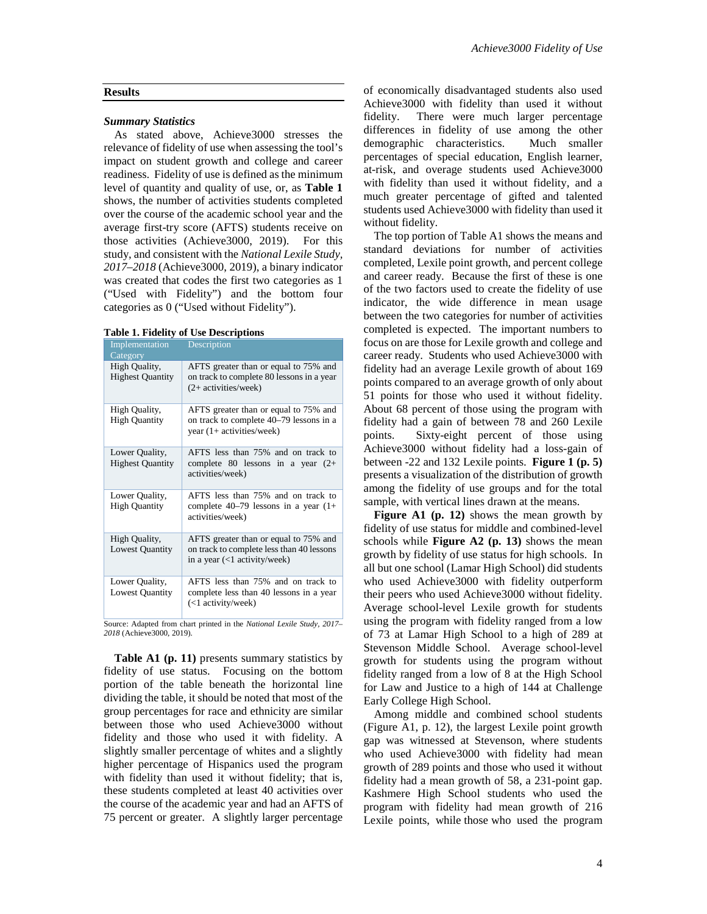#### **Results**

#### *Summary Statistics*

As stated above, Achieve3000 stresses the relevance of fidelity of use when assessing the tool's impact on student growth and college and career readiness. Fidelity of use is defined as the minimum level of quantity and quality of use, or, as **Table 1** shows, the number of activities students completed over the course of the academic school year and the average first-try score (AFTS) students receive on those activities (Achieve3000, 2019). For this study, and consistent with the *National Lexile Study, 2017–2018* (Achieve3000, 2019), a binary indicator was created that codes the first two categories as 1 ("Used with Fidelity") and the bottom four categories as 0 ("Used without Fidelity").

| <b>Implementation</b><br>Category         | Description                                                                                                        |
|-------------------------------------------|--------------------------------------------------------------------------------------------------------------------|
| High Quality,<br><b>Highest Quantity</b>  | AFTS greater than or equal to 75% and<br>on track to complete 80 lessons in a year<br>$(2+$ activities/week)       |
| High Quality,<br><b>High Quantity</b>     | AFTS greater than or equal to 75% and<br>on track to complete 40–79 lessons in a<br>year $(1+$ activities/week)    |
| Lower Quality,<br><b>Highest Quantity</b> | AFTS less than 75% and on track to<br>complete 80 lessons in a year $(2+)$<br>activities/week)                     |
| Lower Quality,<br><b>High Quantity</b>    | AFTS less than 75% and on track to<br>complete $40-79$ lessons in a year $(1+)$<br>activities/week)                |
| High Quality,<br><b>Lowest Quantity</b>   | AFTS greater than or equal to 75% and<br>on track to complete less than 40 lessons<br>in a year (<1 activity/week) |
| Lower Quality,<br><b>Lowest Quantity</b>  | AFTS less than 75% and on track to<br>complete less than 40 lessons in a year<br>(<1 activity/week)                |

Source: Adapted from chart printed in the *National Lexile Study, 2017– 2018* (Achieve3000, 2019).

**Table A1 (p. 11)** presents summary statistics by fidelity of use status. Focusing on the bottom portion of the table beneath the horizontal line dividing the table, it should be noted that most of the group percentages for race and ethnicity are similar between those who used Achieve3000 without fidelity and those who used it with fidelity. A slightly smaller percentage of whites and a slightly higher percentage of Hispanics used the program with fidelity than used it without fidelity; that is, these students completed at least 40 activities over the course of the academic year and had an AFTS of 75 percent or greater. A slightly larger percentage

of economically disadvantaged students also used Achieve3000 with fidelity than used it without fidelity. There were much larger percentage differences in fidelity of use among the other demographic characteristics. Much smaller percentages of special education, English learner, at-risk, and overage students used Achieve3000 with fidelity than used it without fidelity, and a much greater percentage of gifted and talented students used Achieve3000 with fidelity than used it without fidelity.

The top portion of Table A1 shows the means and standard deviations for number of activities completed, Lexile point growth, and percent college and career ready. Because the first of these is one of the two factors used to create the fidelity of use indicator, the wide difference in mean usage between the two categories for number of activities completed is expected. The important numbers to focus on are those for Lexile growth and college and career ready. Students who used Achieve3000 with fidelity had an average Lexile growth of about 169 points compared to an average growth of only about 51 points for those who used it without fidelity. About 68 percent of those using the program with fidelity had a gain of between 78 and 260 Lexile points. Sixty-eight percent of those using Achieve3000 without fidelity had a loss-gain of between -22 and 132 Lexile points. **Figure 1 (p. 5)** presents a visualization of the distribution of growth among the fidelity of use groups and for the total sample, with vertical lines drawn at the means.

**Figure A1 (p. 12)** shows the mean growth by fidelity of use status for middle and combined-level schools while **Figure A2 (p. 13)** shows the mean growth by fidelity of use status for high schools. In all but one school (Lamar High School) did students who used Achieve3000 with fidelity outperform their peers who used Achieve3000 without fidelity. Average school-level Lexile growth for students using the program with fidelity ranged from a low of 73 at Lamar High School to a high of 289 at Stevenson Middle School. Average school-level growth for students using the program without fidelity ranged from a low of 8 at the High School for Law and Justice to a high of 144 at Challenge Early College High School.

Among middle and combined school students (Figure A1, p. 12), the largest Lexile point growth gap was witnessed at Stevenson, where students who used Achieve3000 with fidelity had mean growth of 289 points and those who used it without fidelity had a mean growth of 58, a 231-point gap. Kashmere High School students who used the program with fidelity had mean growth of 216 Lexile points, while those who used the program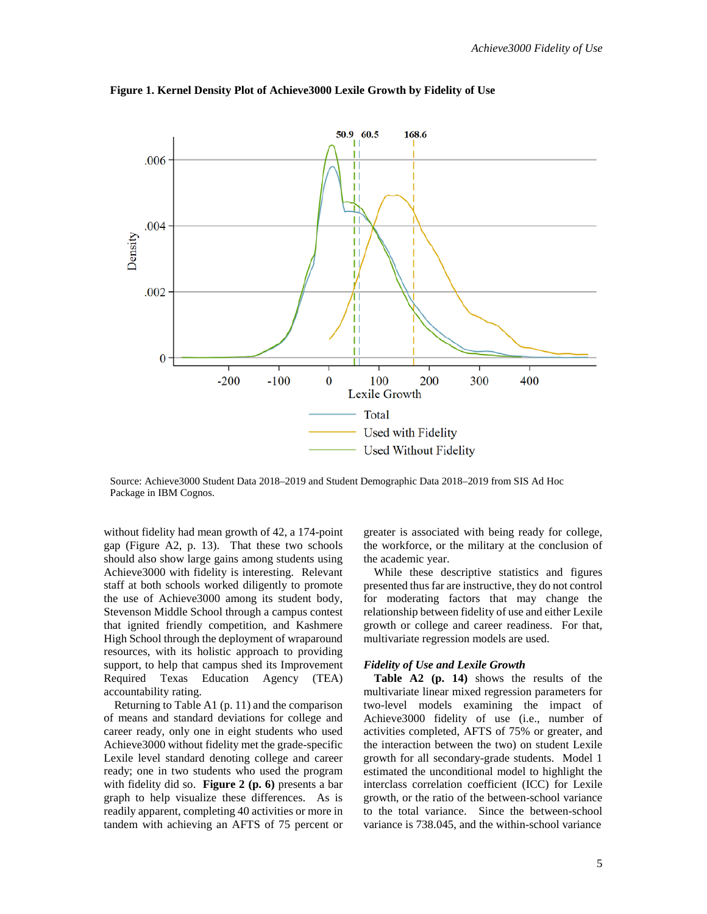

**Figure 1. Kernel Density Plot of Achieve3000 Lexile Growth by Fidelity of Use**

Source: Achieve3000 Student Data 2018–2019 and Student Demographic Data 2018–2019 from SIS Ad Hoc Package in IBM Cognos.

without fidelity had mean growth of 42, a 174-point gap (Figure A2, p. 13). That these two schools should also show large gains among students using Achieve3000 with fidelity is interesting. Relevant staff at both schools worked diligently to promote the use of Achieve3000 among its student body, Stevenson Middle School through a campus contest that ignited friendly competition, and Kashmere High School through the deployment of wraparound resources, with its holistic approach to providing support, to help that campus shed its Improvement Required Texas Education Agency (TEA) accountability rating.

Returning to Table A1 (p. 11) and the comparison of means and standard deviations for college and career ready, only one in eight students who used Achieve3000 without fidelity met the grade-specific Lexile level standard denoting college and career ready; one in two students who used the program with fidelity did so. **Figure 2 (p. 6)** presents a bar graph to help visualize these differences. As is readily apparent, completing 40 activities or more in tandem with achieving an AFTS of 75 percent or

greater is associated with being ready for college, the workforce, or the military at the conclusion of the academic year.

While these descriptive statistics and figures presented thus far are instructive, they do not control for moderating factors that may change the relationship between fidelity of use and either Lexile growth or college and career readiness. For that, multivariate regression models are used.

#### *Fidelity of Use and Lexile Growth*

**Table A2 (p. 14)** shows the results of the multivariate linear mixed regression parameters for two-level models examining the impact of Achieve3000 fidelity of use (i.e., number of activities completed, AFTS of 75% or greater, and the interaction between the two) on student Lexile growth for all secondary-grade students. Model 1 estimated the unconditional model to highlight the interclass correlation coefficient (ICC) for Lexile growth, or the ratio of the between-school variance to the total variance. Since the between-school variance is 738.045, and the within-school variance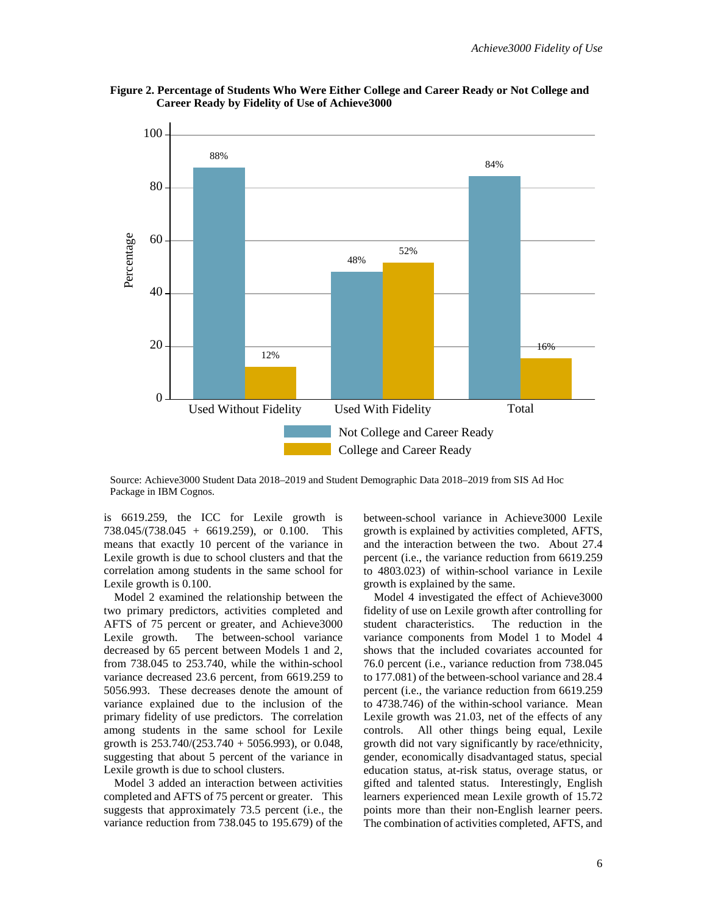



Source: Achieve3000 Student Data 2018–2019 and Student Demographic Data 2018–2019 from SIS Ad Hoc Package in IBM Cognos.

is 6619.259, the ICC for Lexile growth is 738.045/(738.045 + 6619.259), or 0.100. This means that exactly 10 percent of the variance in Lexile growth is due to school clusters and that the correlation among students in the same school for Lexile growth is 0.100.

Model 2 examined the relationship between the two primary predictors, activities completed and AFTS of 75 percent or greater, and Achieve3000 Lexile growth. The between-school variance decreased by 65 percent between Models 1 and 2, from 738.045 to 253.740, while the within-school variance decreased 23.6 percent, from 6619.259 to 5056.993. These decreases denote the amount of variance explained due to the inclusion of the primary fidelity of use predictors. The correlation among students in the same school for Lexile growth is 253.740/(253.740 + 5056.993), or 0.048, suggesting that about 5 percent of the variance in Lexile growth is due to school clusters.

Model 3 added an interaction between activities completed and AFTS of 75 percent or greater. This suggests that approximately 73.5 percent (i.e., the variance reduction from 738.045 to 195.679) of the between-school variance in Achieve3000 Lexile growth is explained by activities completed, AFTS, and the interaction between the two. About 27.4 percent (i.e., the variance reduction from 6619.259 to 4803.023) of within-school variance in Lexile growth is explained by the same.

Model 4 investigated the effect of Achieve3000 fidelity of use on Lexile growth after controlling for student characteristics. The reduction in the variance components from Model 1 to Model 4 shows that the included covariates accounted for 76.0 percent (i.e., variance reduction from 738.045 to 177.081) of the between-school variance and 28.4 percent (i.e., the variance reduction from 6619.259 to 4738.746) of the within-school variance. Mean Lexile growth was 21.03, net of the effects of any controls. All other things being equal, Lexile growth did not vary significantly by race/ethnicity, gender, economically disadvantaged status, special education status, at-risk status, overage status, or gifted and talented status. Interestingly, English learners experienced mean Lexile growth of 15.72 points more than their non-English learner peers. The combination of activities completed, AFTS, and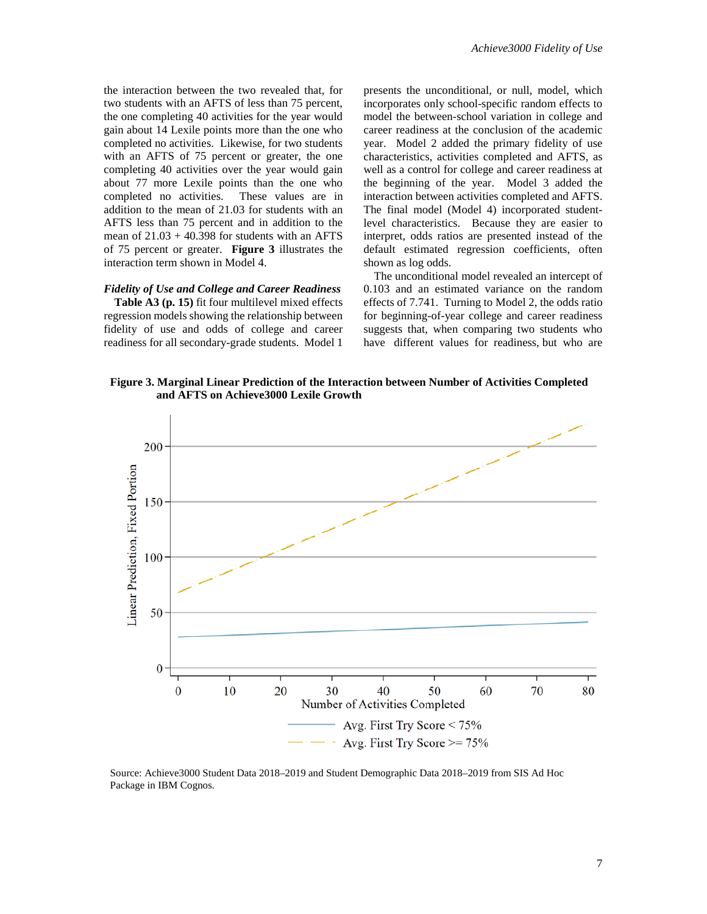the interaction between the two revealed that, for two students with an AFTS of less than 75 percent, the one completing 40 activities for the year would gain about 14 Lexile points more than the one who completed no activities. Likewise, for two students with an AFTS of 75 percent or greater, the one completing 40 activities over the year would gain about 77 more Lexile points than the one who completed no activities. These values are in addition to the mean of 21.03 for students with an AFTS less than 75 percent and in addition to the mean of  $21.03 + 40.398$  for students with an AFTS of 75 percent or greater. **Figure 3** illustrates the interaction term shown in Model 4.

#### *Fidelity of Use and College and Career Readiness*

**Table A3 (p. 15)** fit four multilevel mixed effects regression models showing the relationship between fidelity of use and odds of college and career readiness for all secondary-grade students. Model 1 presents the unconditional, or null, model, which incorporates only school-specific random effects to model the between-school variation in college and career readiness at the conclusion of the academic year. Model 2 added the primary fidelity of use characteristics, activities completed and AFTS, as well as a control for college and career readiness at the beginning of the year. Model 3 added the interaction between activities completed and AFTS. The final model (Model 4) incorporated studentlevel characteristics. Because they are easier to interpret, odds ratios are presented instead of the default estimated regression coefficients, often shown as log odds.

The unconditional model revealed an intercept of 0.103 and an estimated variance on the random effects of 7.741. Turning to Model 2, the odds ratio for beginning-of-year college and career readiness suggests that, when comparing two students who have different values for readiness, but who are

**Figure 3. Marginal Linear Prediction of the Interaction between Number of Activities Completed and AFTS on Achieve3000 Lexile Growth**



Source: Achieve3000 Student Data 2018–2019 and Student Demographic Data 2018–2019 from SIS Ad Hoc Package in IBM Cognos.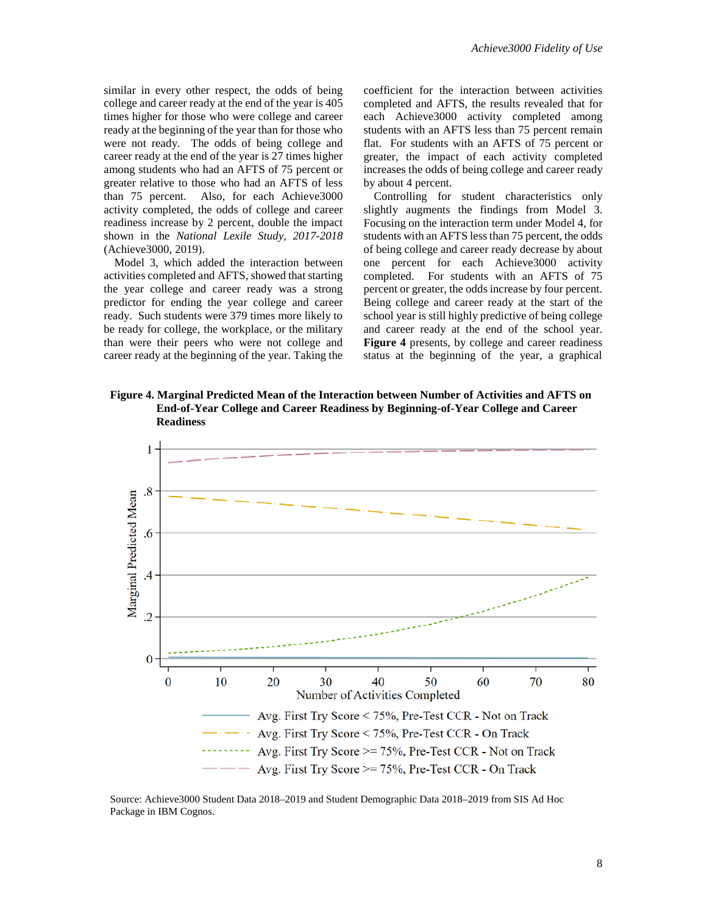similar in every other respect, the odds of being college and career ready at the end of the year is 405 times higher for those who were college and career ready at the beginning of the year than for those who were not ready. The odds of being college and career ready at the end of the year is 27 times higher among students who had an AFTS of 75 percent or greater relative to those who had an AFTS of less than 75 percent. Also, for each Achieve3000 activity completed, the odds of college and career readiness increase by 2 percent, double the impact shown in the *National Lexile Study, 2017-2018* (Achieve3000, 2019).

Model 3, which added the interaction between activities completed and AFTS, showed that starting the year college and career ready was a strong predictor for ending the year college and career ready. Such students were 379 times more likely to be ready for college, the workplace, or the military than were their peers who were not college and career ready at the beginning of the year. Taking the coefficient for the interaction between activities completed and AFTS, the results revealed that for each Achieve3000 activity completed among students with an AFTS less than 75 percent remain flat. For students with an AFTS of 75 percent or greater, the impact of each activity completed increases the odds of being college and career ready by about 4 percent.

Controlling for student characteristics only slightly augments the findings from Model 3. Focusing on the interaction term under Model 4, for students with an AFTS less than 75 percent, the odds of being college and career ready decrease by about one percent for each Achieve3000 activity completed. For students with an AFTS of 75 percent or greater, the odds increase by four percent. Being college and career ready at the start of the school year is still highly predictive of being college and career ready at the end of the school year. **Figure 4** presents, by college and career readiness status at the beginning of the year, a graphical

**Figure 4. Marginal Predicted Mean of the Interaction between Number of Activities and AFTS on End-of-Year College and Career Readiness by Beginning-of-Year College and Career Readiness**



Source: Achieve3000 Student Data 2018–2019 and Student Demographic Data 2018–2019 from SIS Ad Hoc Package in IBM Cognos.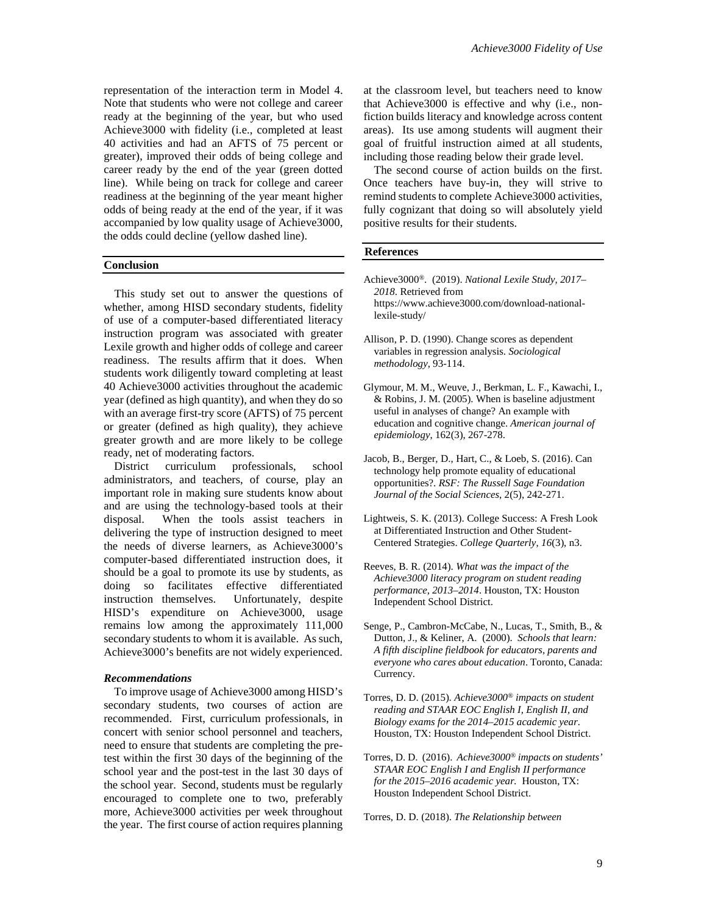representation of the interaction term in Model 4. Note that students who were not college and career ready at the beginning of the year, but who used Achieve3000 with fidelity (i.e., completed at least 40 activities and had an AFTS of 75 percent or greater), improved their odds of being college and career ready by the end of the year (green dotted line). While being on track for college and career readiness at the beginning of the year meant higher odds of being ready at the end of the year, if it was accompanied by low quality usage of Achieve3000, the odds could decline (yellow dashed line).

#### **Conclusion**

This study set out to answer the questions of whether, among HISD secondary students, fidelity of use of a computer-based differentiated literacy instruction program was associated with greater Lexile growth and higher odds of college and career readiness. The results affirm that it does. When students work diligently toward completing at least 40 Achieve3000 activities throughout the academic year (defined as high quantity), and when they do so with an average first-try score (AFTS) of 75 percent or greater (defined as high quality), they achieve greater growth and are more likely to be college ready, net of moderating factors.

District curriculum professionals, school administrators, and teachers, of course, play an important role in making sure students know about and are using the technology-based tools at their disposal. When the tools assist teachers in delivering the type of instruction designed to meet the needs of diverse learners, as Achieve3000's computer-based differentiated instruction does, it should be a goal to promote its use by students, as doing so facilitates effective differentiated instruction themselves. Unfortunately, despite HISD's expenditure on Achieve3000, usage remains low among the approximately 111,000 secondary students to whom it is available. As such, Achieve3000's benefits are not widely experienced.

#### *Recommendations*

To improve usage of Achieve3000 among HISD's secondary students, two courses of action are recommended. First, curriculum professionals, in concert with senior school personnel and teachers, need to ensure that students are completing the pretest within the first 30 days of the beginning of the school year and the post-test in the last 30 days of the school year. Second, students must be regularly encouraged to complete one to two, preferably more, Achieve3000 activities per week throughout the year. The first course of action requires planning

at the classroom level, but teachers need to know that Achieve3000 is effective and why (i.e., nonfiction builds literacy and knowledge across content areas). Its use among students will augment their goal of fruitful instruction aimed at all students, including those reading below their grade level.

The second course of action builds on the first. Once teachers have buy-in, they will strive to remind students to complete Achieve3000 activities, fully cognizant that doing so will absolutely yield positive results for their students.

#### **References**

- Achieve3000*®*. (2019). *National Lexile Study, 2017– 2018*. Retrieved from https://www.achieve3000.com/download-nationallexile-study/
- Allison, P. D. (1990). Change scores as dependent variables in regression analysis. *Sociological methodology*, 93-114.
- Glymour, M. M., Weuve, J., Berkman, L. F., Kawachi, I., & Robins, J. M. (2005). When is baseline adjustment useful in analyses of change? An example with education and cognitive change. *American journal of epidemiology*, 162(3), 267-278.
- Jacob, B., Berger, D., Hart, C., & Loeb, S. (2016). Can technology help promote equality of educational opportunities?. *RSF: The Russell Sage Foundation Journal of the Social Sciences*, 2(5), 242-271.
- Lightweis, S. K. (2013). College Success: A Fresh Look at Differentiated Instruction and Other Student-Centered Strategies. *College Quarterly*, *16*(3), n3.
- Reeves, B. R. (2014). *What was the impact of the Achieve3000 literacy program on student reading performance, 2013–2014*. Houston, TX: Houston Independent School District.
- Senge, P., Cambron-McCabe, N., Lucas, T., Smith, B., & Dutton, J., & Keliner, A. (2000). *Schools that learn: A fifth discipline fieldbook for educators, parents and everyone who cares about education*. Toronto, Canada: Currency.
- Torres, D. D. (2015). *Achieve3000® impacts on student reading and STAAR EOC English I, English II, and Biology exams for the 2014–2015 academic year*. Houston, TX: Houston Independent School District.
- Torres, D. D. (2016). *Achieve3000® impacts on students' STAAR EOC English I and English II performance for the 2015–2016 academic year.* Houston, TX: Houston Independent School District.

Torres, D. D. (2018). *The Relationship between*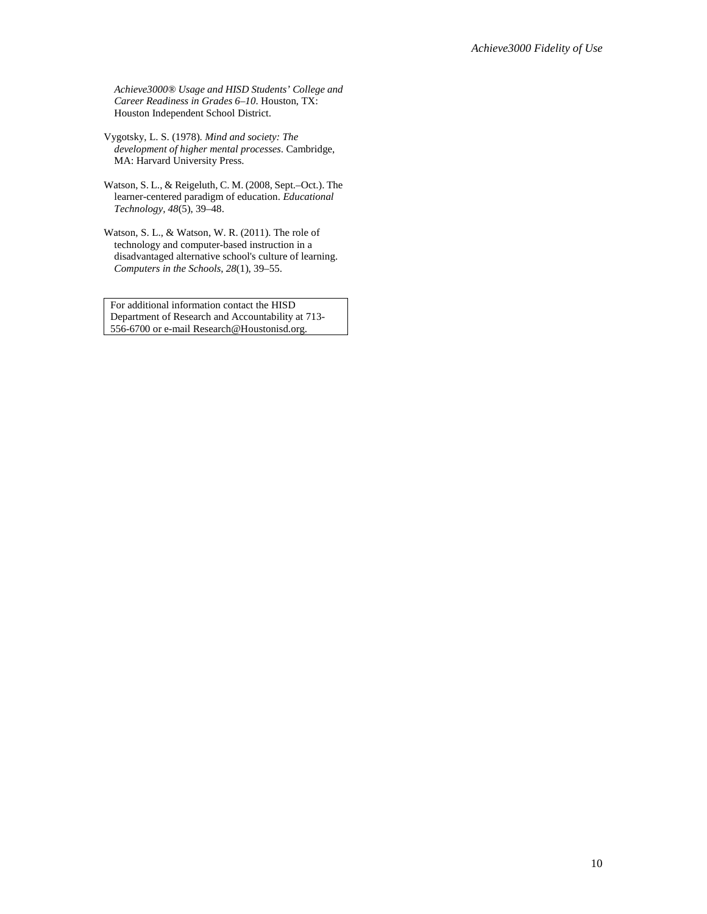*Achieve3000® Usage and HISD Students' College and Career Readiness in Grades 6–10*. Houston, TX: Houston Independent School District.

Vygotsky, L. S. (1978). *Mind and society: The development of higher mental processes*. Cambridge, MA: Harvard University Press.

Watson, S. L., & Reigeluth, C. M. (2008, Sept.–Oct.). The learner-centered paradigm of education. *Educational Technology, 48*(5), 39–48.

Watson, S. L., & Watson, W. R. (2011). The role of technology and computer-based instruction in a disadvantaged alternative school's culture of learning. *Computers in the Schools*, *28*(1), 39–55.

For additional information contact the HISD Department of Research and Accountability at 713- 556-6700 or e-mail Research@Houstonisd.org.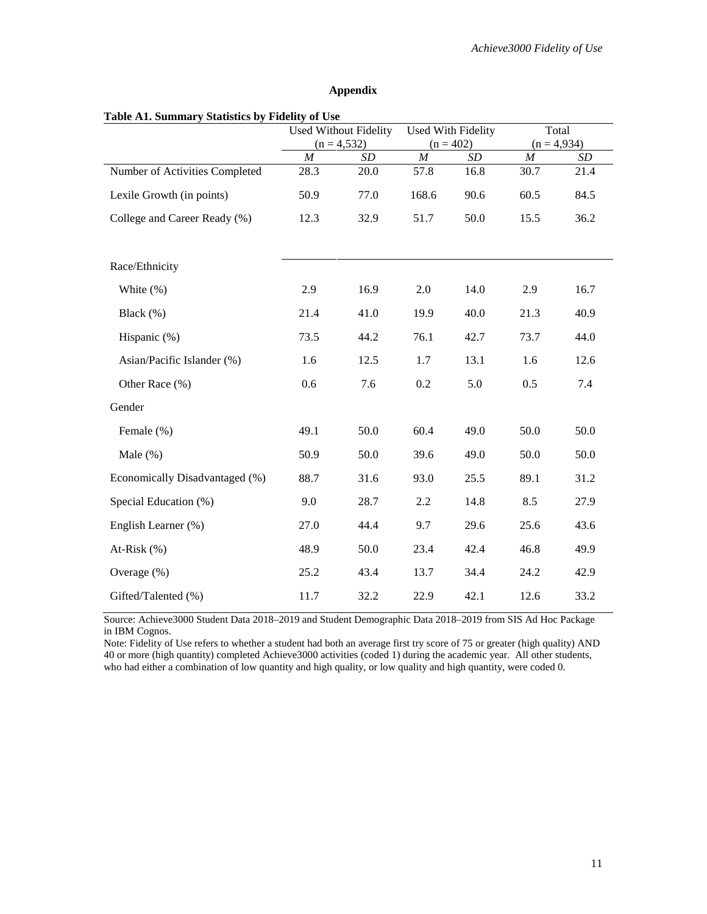#### **Appendix**

|                                | <b>Used Without Fidelity</b> |           | Used With Fidelity |           | Total            |           |
|--------------------------------|------------------------------|-----------|--------------------|-----------|------------------|-----------|
|                                | $(n = 4, 532)$               |           | $(n = 402)$        |           | $(n = 4,934)$    |           |
|                                | $\cal M$                     | $\cal SD$ | $\cal M$           | $\cal SD$ | $\boldsymbol{M}$ | $\cal SD$ |
| Number of Activities Completed | 28.3                         | 20.0      | 57.8               | 16.8      | 30.7             | 21.4      |
| Lexile Growth (in points)      | 50.9                         | 77.0      | 168.6              | 90.6      | 60.5             | 84.5      |
| College and Career Ready (%)   | 12.3                         | 32.9      | 51.7               | 50.0      | 15.5             | 36.2      |
| Race/Ethnicity                 |                              |           |                    |           |                  |           |
| White $(\%)$                   | 2.9                          | 16.9      | 2.0                | 14.0      | 2.9              | 16.7      |
| Black (%)                      | 21.4                         | 41.0      | 19.9               | 40.0      | 21.3             | 40.9      |
| Hispanic (%)                   | 73.5                         | 44.2      | 76.1               | 42.7      | 73.7             | 44.0      |
| Asian/Pacific Islander (%)     | 1.6                          | 12.5      | 1.7                | 13.1      | 1.6              | 12.6      |
| Other Race (%)                 | 0.6                          | 7.6       | 0.2                | 5.0       | 0.5              | 7.4       |
| Gender                         |                              |           |                    |           |                  |           |
| Female (%)                     | 49.1                         | 50.0      | 60.4               | 49.0      | 50.0             | 50.0      |
| Male $(\% )$                   | 50.9                         | 50.0      | 39.6               | 49.0      | 50.0             | 50.0      |
| Economically Disadvantaged (%) | 88.7                         | 31.6      | 93.0               | 25.5      | 89.1             | 31.2      |
| Special Education (%)          | 9.0                          | 28.7      | 2.2                | 14.8      | 8.5              | 27.9      |
| English Learner (%)            | 27.0                         | 44.4      | 9.7                | 29.6      | 25.6             | 43.6      |
| At-Risk $(\% )$                | 48.9                         | 50.0      | 23.4               | 42.4      | 46.8             | 49.9      |
| Overage $(\% )$                | 25.2                         | 43.4      | 13.7               | 34.4      | 24.2             | 42.9      |
| Gifted/Talented (%)            | 11.7                         | 32.2      | 22.9               | 42.1      | 12.6             | 33.2      |

Source: Achieve3000 Student Data 2018–2019 and Student Demographic Data 2018–2019 from SIS Ad Hoc Package in IBM Cognos.

Note: Fidelity of Use refers to whether a student had both an average first try score of 75 or greater (high quality) AND 40 or more (high quantity) completed Achieve3000 activities (coded 1) during the academic year. All other students, who had either a combination of low quantity and high quality, or low quality and high quantity, were coded 0.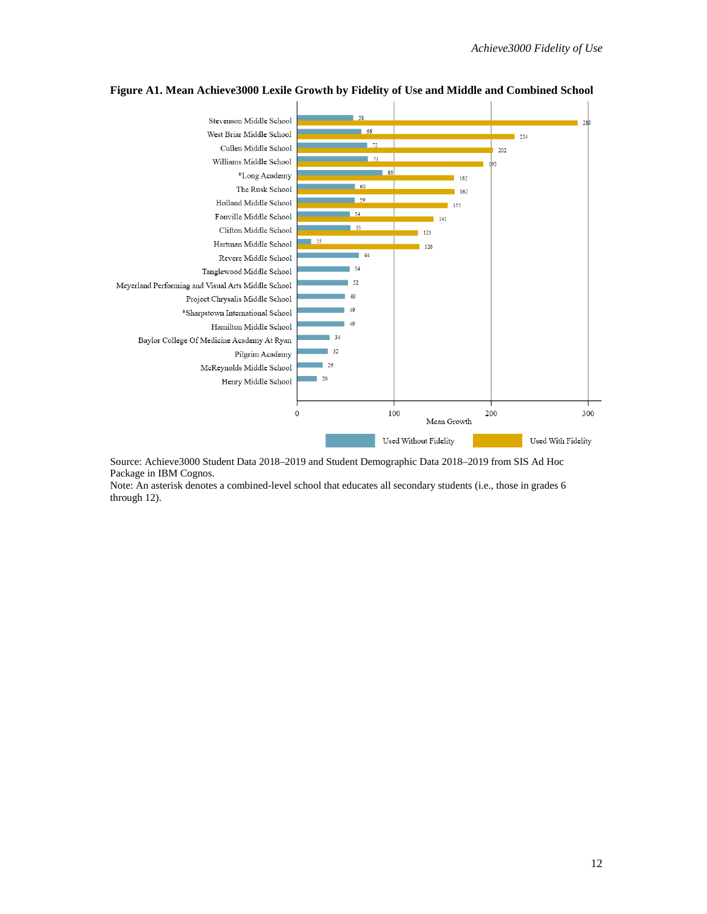

**Figure A1. Mean Achieve3000 Lexile Growth by Fidelity of Use and Middle and Combined School**

Source: Achieve3000 Student Data 2018–2019 and Student Demographic Data 2018–2019 from SIS Ad Hoc Package in IBM Cognos.

Note: An asterisk denotes a combined-level school that educates all secondary students (i.e., those in grades 6 through 12).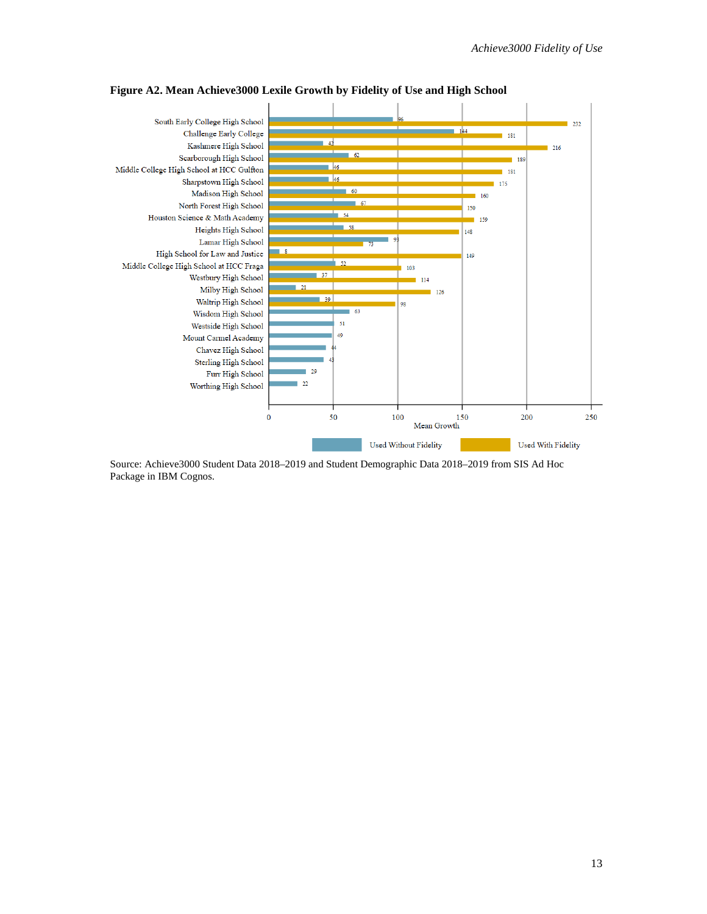

**Figure A2. Mean Achieve3000 Lexile Growth by Fidelity of Use and High School**

Source: Achieve3000 Student Data 2018–2019 and Student Demographic Data 2018–2019 from SIS Ad Hoc Package in IBM Cognos.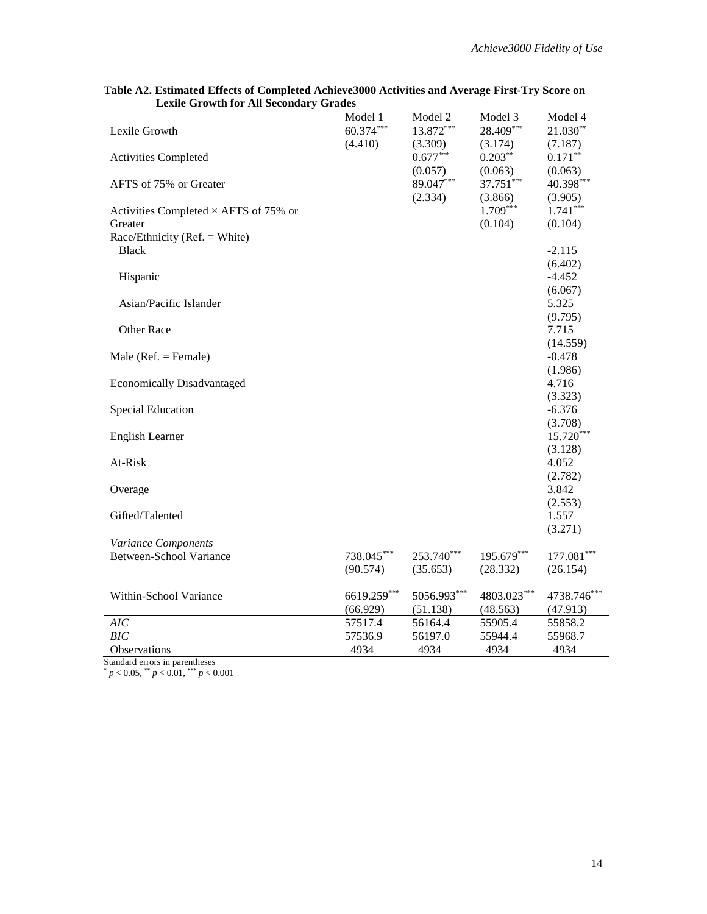|                                              | Model 1     | Model 2     | Model 3     | Model 4      |
|----------------------------------------------|-------------|-------------|-------------|--------------|
| Lexile Growth                                | $60.374***$ | 13.872***   | $28.409***$ | $21.030**$   |
|                                              | (4.410)     | (3.309)     | (3.174)     | (7.187)      |
| <b>Activities Completed</b>                  |             | $0.677***$  | $0.203**$   | $0.171***$   |
|                                              |             | (0.057)     | (0.063)     | (0.063)      |
| AFTS of 75% or Greater                       |             | 89.047***   | 37.751***   | 40.398***    |
|                                              |             | (2.334)     | (3.866)     | (3.905)      |
| Activities Completed $\times$ AFTS of 75% or |             |             | $1.709***$  | $1.741***$   |
| Greater                                      |             |             | (0.104)     | (0.104)      |
| Race/Ethnicity (Ref. = White)                |             |             |             |              |
| <b>Black</b>                                 |             |             |             | $-2.115$     |
|                                              |             |             |             | (6.402)      |
| Hispanic                                     |             |             |             | $-4.452$     |
|                                              |             |             |             | (6.067)      |
| Asian/Pacific Islander                       |             |             |             | 5.325        |
|                                              |             |             |             |              |
|                                              |             |             |             | (9.795)      |
| Other Race                                   |             |             |             | 7.715        |
|                                              |             |             |             | (14.559)     |
| Male ( $Ref. = Female$ )                     |             |             |             | $-0.478$     |
|                                              |             |             |             | (1.986)      |
| <b>Economically Disadvantaged</b>            |             |             |             | 4.716        |
|                                              |             |             |             | (3.323)      |
| <b>Special Education</b>                     |             |             |             | $-6.376$     |
|                                              |             |             |             | (3.708)      |
| <b>English Learner</b>                       |             |             |             | $15.720***$  |
|                                              |             |             |             | (3.128)      |
| At-Risk                                      |             |             |             | 4.052        |
|                                              |             |             |             | (2.782)      |
| Overage                                      |             |             |             | 3.842        |
|                                              |             |             |             | (2.553)      |
| Gifted/Talented                              |             |             |             | 1.557        |
|                                              |             |             |             | (3.271)      |
| Variance Components                          |             |             |             |              |
| <b>Between-School Variance</b>               | 738.045***  | 253.740***  | 195.679***  | $177.081***$ |
|                                              | (90.574)    | (35.653)    | (28.332)    | (26.154)     |
|                                              |             |             |             |              |
| Within-School Variance                       | 6619.259*** | 5056.993*** | 4803.023*** | 4738.746***  |
|                                              | (66.929)    | (51.138)    | (48.563)    | (47.913)     |
| AIC                                          | 57517.4     | 56164.4     | 55905.4     | 55858.2      |
| BIC                                          | 57536.9     | 56197.0     | 55944.4     | 55968.7      |
| <b>Observations</b>                          | 4934        | 4934        | 4934        | 4934         |

**Table A2. Estimated Effects of Completed Achieve3000 Activities and Average First-Try Score on Lexile Growth for All Secondary Grades**

Standard errors in parentheses

\* *p* < 0.05, \*\* *p* < 0.01, \*\*\* *p* < 0.001